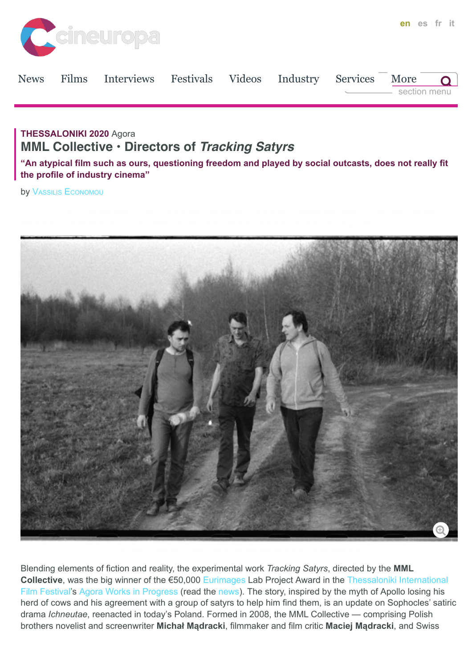

| <b>News</b>                                                                     |  | Films Interviews Festivals Videos Industry Services More |  |  |  |  | section menu |
|---------------------------------------------------------------------------------|--|----------------------------------------------------------|--|--|--|--|--------------|
| THESSALONIKI 2020 Agora<br><b>MML Collective · Directors of Tracking Satyrs</b> |  |                                                          |  |  |  |  |              |

**"An atypical film such as ours, questioning freedom and played by social outcasts, does not really fit the profile of industry cinema"**

**by [VASSILIS ECONOMOU](https://cineuropa.org/en/author/?author=Vassilis%20Economou)** 



Blending elements of fiction and reality, the experimental work *Tracking Satyrs*, directed by the **MML Collective**, was the big winner of the €50,000 [Eurimages](https://cineuropa.org/prodcompany/20043/) Lab Project Award in the Thessaloniki International [Film Festival's Agora Works in Progress \(read the news\). The story, inspired by the myth of Apollo losing his](https://www.filmfestival.gr/en/) herd of cows and his agreement with a group of satyrs to help him find them, is an update on Sophocles' satiric drama *Ichneutae*, reenacted in today's Poland. Formed in 2008, the MML Collective — comprising Polish brothers novelist and screenwriter **Michał Mądracki**, filmmaker and film critic **Maciej Mądracki**, and Swiss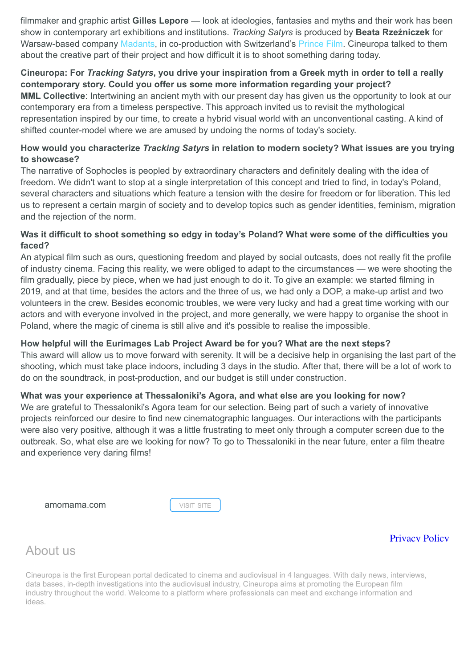filmmaker and graphic artist **Gilles Lepore** — look at ideologies, fantasies and myths and their work has been show in contemporary art exhibitions and institutions. *Tracking Satyrs* is produced by **Beata Rzeźniczek** for Warsaw-based company [Madants](https://cineuropa.org/prodcompany/308035/), in co-production with Switzerland's [Prince Film](https://cineuropa.org/prodcompany/108499/). Cineuropa talked to them about the creative part of their project and how difficult it is to shoot something daring today.

## **Cineuropa: For** *Tracking Satyrs***, you drive your inspiration from a Greek myth in order to tell a really contemporary story. Could you offer us some more information regarding your project?**

**MML Collective**: Intertwining an ancient myth with our present day has given us the opportunity to look at our contemporary era from a timeless perspective. This approach invited us to revisit the mythological representation inspired by our time, to create a hybrid visual world with an unconventional casting. A kind of shifted counter-model where we are amused by undoing the norms of today's society.

## **How would you characterize** *Tracking Satyrs* **in relation to modern society? What issues are you trying to showcase?**

The narrative of Sophocles is peopled by extraordinary characters and definitely dealing with the idea of freedom. We didn't want to stop at a single interpretation of this concept and tried to find, in today's Poland, several characters and situations which feature a tension with the desire for freedom or for liberation. This led us to represent a certain margin of society and to develop topics such as gender identities, feminism, migration and the rejection of the norm.

## **Was it difficult to shoot something so edgy in today's Poland? What were some of the difficulties you faced?**

An atypical film such as ours, questioning freedom and played by social outcasts, does not really fit the profile of industry cinema. Facing this reality, we were obliged to adapt to the circumstances — we were shooting the film gradually, piece by piece, when we had just enough to do it. To give an example: we started filming in 2019, and at that time, besides the actors and the three of us, we had only a DOP, a make-up artist and two volunteers in the crew. Besides economic troubles, we were very lucky and had a great time working with our actors and with everyone involved in the project, and more generally, we were happy to organise the shoot in Poland, where the magic of cinema is still alive and it's possible to realise the impossible.

## **How helpful will the Eurimages Lab Project Award be for you? What are the next steps?**

This award will allow us to move forward with serenity. It will be a decisive help in organising the last part of the shooting, which must take place indoors, including 3 days in the studio. After that, there will be a lot of work to do on the soundtrack, in post-production, and our budget is still under construction.

#### **What was your experience at Thessaloniki's Agora, and what else are you looking for now?**

We are grateful to Thessaloniki's Agora team for our selection. Being part of such a variety of innovative projects reinforced our desire to find new cinematographic languages. Our interactions with the participants were also very positive, although it was a little frustrating to meet only through a computer screen due to the outbreak. So, what else are we looking for now? To go to Thessaloniki in the near future, enter a film theatre and experience very daring films!

**[amomama.com](https://news.amomama.com/)** VISIT SITE

## [Privacy Policy](https://www.iubenda.com/privacy-policy/84724847)

# About us

Cineuropa is the first European portal dedicated to cinema and audiovisual in 4 languages. With daily news, interviews, data bases, in-depth investigations into the audiovisual industry, Cineuropa aims at promoting the European film industry throughout the world. Welcome to a platform where professionals can meet and exchange information and ideas.